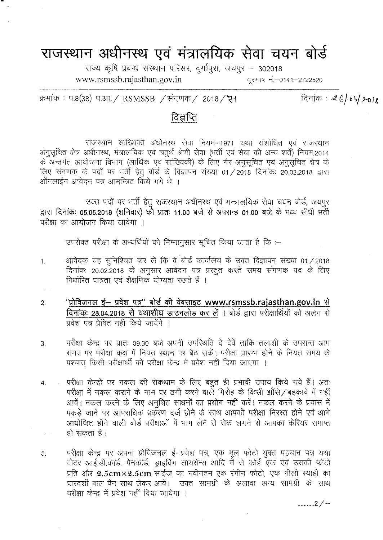## राजस्थान अधीनस्थ एवं मंत्रालयिक सेवा चयन बोर्<del>ड</del>

राज्य कृषि प्रबन्ध संस्थान परिसर, दुर्गापुरा, जयपुर – 302018 [www.rsmssb.rajasthan.gov.in](http://www.rsmssb.rajasthan.gov.in) ~ ~.-0141-2722520

दिनांक:  $26/04/2018$ 

क्रमांक: प.8(38) प.आ. / RSMSSB /संगणक / 2018 / रेन

## विज्ञप्ति

राजस्थान सांख्यिकी अधीनस्थ सेवा नियम-1971 यथा संशोधित एवं राजस्थान अनुसूचित क्षेत्र अधीनस्थ, मंत्रालयिक एवं चतुर्थ श्रेणी सेवा (भर्ती एवं सेवा की अन्य शर्तें) नियम,2014 के अन्तर्गत आयोजना विभाग (आर्थिक एवं सांख्यिकी) के लिए गैर अनुसूचित एवं अनुसूचित क्षेत्र के लिए संगणक के पदों पर भर्ती हेतु बोर्ड के विज्ञापन संख्या 01/2018 दिनांक: 20.02.2018 द्वारा ऑनलाईन आवेदन पत्र आमन्त्रित किये गये थे ।

उक्त पदों पर भर्ती हेतु राजस्थान अधीनस्थ एवं मन्त्रालयिक सेवा चयन बोर्ड, जयपुर द्वारा दिनांकः 05.05.2018 (शनिवार) को प्रातः 11.00 बजे से अपरान्ह 01.00 बजे के मध्य सीधी भर्ती परीक्षा का आयोजन किया जावेगा ।

उपरोक्त परीक्षा के अभ्यर्थियों को निम्नानुसार सूचित किया जाता है कि :-

- 1. अावेदक यह सुनिश्चित कर लें कि वे बोर्ड कार्यालय के उक्त विज्ञापन संख्या 01/2018 दिनांकः 20.02.2018 के अनुसार आवेदन पत्र प्रस्तुत करते समय संगणक पद के लिए निर्धारित पात्रता एवं शैक्षणिक योग्यता रखते हैं ।
- <u>2. "प्रोविजनल ई– प्रवेश पत्र" बोर्ड की वेबसाइट [www.rsmssb.rajasthan.gov.in](http://www.rsmssb.rajasthan.gov.in) से </u> दिनांक: 28.04.2018 से यथाशीघ्र डाउनलोड कर लें । बोर्ड द्वारा परीक्षार्थियों को अलग से प्रवेश पत्र प्रेषित नहीं किये जायेंगे ।
- 3. परीक्षा केन्द्र पर प्रातः 09.30 बजे अपनी उपरिथति दे देवें ताकि तलाशी के उपरान्त आप समय पर परीक्षा कक्ष में नियत स्थान पर बैठ सकें। परीक्षा प्रारम्भ होने के नियत समय के पश्चात् किसी परीक्षार्थी को परीक्षा केन्द्र में प्रवेश नहीं दिया जाएगा ।
- 4. परीक्षा केन्द्रों पर नकल की रोकथाम के लिए बहुत ही प्रभावी उपाय किये गये हैं। अतः परीक्षा में नकल कराने के नाम पर ठगी करने वाले गिरोह के किसी झाँसे/बहकावे में नहीं आवें। नकल करने के लिए अनुचित साधनों का प्रयोग नहीं करें। नकल करने के प्रयास में पकड़े जाने पर आपराधिक प्रकरण दर्ज होने के साथ आपकी परीक्षा निरस्त होने एवं आगे आयोजित होने वाली बोर्ड परीक्षाओं में भाग लेने से रोक लगने से आपका केरियर समाप्त हो सकता है।  $\varphi_{\rm c}$  .
- 5. परीक्षा केन्द्र पर अपना प्रोविजनल ई-प्रवेश पत्र, एक मूल फोटो युक्त पहचान पत्र यथा वोटर आई.डी.कार्ड, पेनकार्ड, ड्राइविंग लायसेन्स आदि में से कोई एक एवं उसकी फोटो प्रति और  $\rm 2.5cm \times 2.5cm$  साईज का नवीनतम एक रंगीन फोटो, एक नीली स्याही का पारदर्शी बाल पैन साथ लेकर आवें। उक्त सामग्री के अलावा अन्य सामग्री के साथ परीक्षा केन्द्र में प्रवेश नहीं दिया जायेगा ।

........... 2/-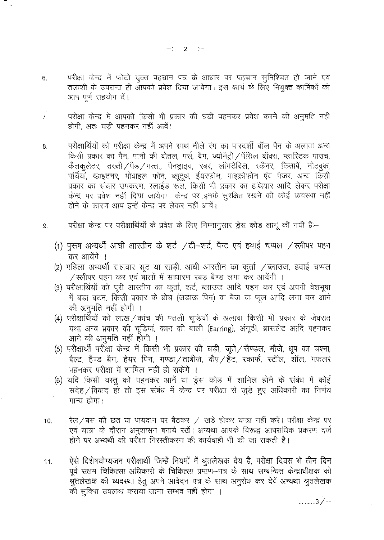$-2 - 2$ 

- परीक्षा केन्द्र में फोटो युक्त पहचान पत्र के आधार पर पहचान सुनिश्चित हो जाने एवं  $6.$ तलाशी के उपरान्त ही आपको प्रवेश दिया जायेगा। इस कार्य के लिए नियुक्त कार्मिकों को आप पूर्ण सहयोग दें।
- परीक्षा केन्द्र में आपको किसी भी प्रकार की घडी पहनकर प्रवेश करने की अनुमति नहीं  $\overline{7}$ . होगी, अतः घडी पहनकर नहीं आवें।
- परीक्षार्थियों को परीक्षा केन्द्र में अपने साथ नीले रंग का पारदर्शी बॉल पैन के अलावा अन्य 8. किसी प्रकार का पैन, पानी की बोतल, पर्स, बैग, ज्योमैट्री / पेंसिल बॉक्स, प्लास्टिक पाउच, कैलकुलेटर, तख्ती / पैड / गत्ता, पैनड्राइव, रबर, लॉगटेबिल, स्कैनर, किताबें, नोटबुक, पर्चियां, व्हाइटनर, मोबाइल फोन, ब्लूट्थ, ईयरफोन, माइक्रोफोन एंव पेजर, अन्य किसी प्रकार का संचार उपकरण, स्लाईड रूल, किसी भी प्रकार का हथियार आदि लेकर परीक्षा केन्द्र पर प्रवेश नहीं दिया जायेगा। केन्द्र पर इनके सुरक्षित रखने की कोई व्यवस्था नहीं होने के कारण आप इन्हें केन्द्र पर लेकर नहीं आवें।
- परीक्षा केन्द्र पर परीक्षार्थियों के प्रवेश के लिए निम्नानुसार ड्रेस कोड लागू की गयी है:- $9<sub>1</sub>$ 
	- (1) पुरुष अभ्यर्थी आधी आरतीन के शर्ट /टी-शर्ट, पैन्ट एवं हवाई चप्पल /स्लीपर पहन कर आयेंगे ।
	- (2) महिला अभ्यर्थी सलवार सुट या साडी, आधी आस्तीन का कर्ता /ब्लाउज, हवाई चप्पल / स्लीपर पहन कर एवं बालों में साधारण रबड़ बैण्ड लगा कर आवेंगी ।
	- (3) परीक्षार्थियों को पूरी आरतीन का कुर्ता, शर्ट, ब्लाउज आदि पहन कर एवं अपनी वेशभूषा में बड़ा बटन, किसी प्रकार के ब्रोच (जड़ाऊ पिन) या बैज या फूल आदि लगा कर आने की अनमति नहीं होगी ।
	- (4) परीक्षार्थियों को लाख/कांच की पतली चूडियों के अलावा किसी भी प्रकार के जेवरात यथा अन्य प्रकार की चूडियां, कान की बाली (Earring), अंगूठी, ब्रासलेट आदि पहनकर आने की अनुमति नहीं होगी ।
	- (5) परीक्षार्थी परीक्षा केन्द्र में किसी भी प्रकार की घड़ी, जूते / सैण्डल, मौजे, धूप का चश्मा, बैल्ट, हैण्ड बैग, हेयर पिन, गण्डा / ताबीज, कैप / हैंट, स्कार्फ, स्टॉल, शॉल, मफलर पहनकर परीक्षा में शामिल नहीं हो सकेंगे ।
	- (6) यदि किसी वस्तु को पहनकर आनें या ड्रेस कोड़ में शामिल होने के संबंध में कोई संदेह / विवाद हो तो इस संबंध में केन्द्र पर परीक्षा से जुड़े हुए अधिकारी का निर्णय मान्य होगा।
- रेल/बस की छत या पायदान पर बैठकर / खड़े होकर यात्रा नहीं करें। परीक्षा केन्द्र पर  $10.$ एवं यात्रा के दौरान अनुशासन बनाये रखें। अन्यथा आपके विरूद्ध आपराधिक प्रकरण दर्ज होने पर अभ्यर्थी की पर्राक्षा निरस्तीकरण की कार्यवाही भी की जा सकती है।
- ऐसे विशेषयोग्यजन परीक्षार्थी जिन्हें नियमों में श्रुतलेखक देय है, परीक्षा दिवस से तीन दिन  $11.$ पूर्व सक्षम चिकित्सा अधिकारी के चिकित्सा प्रमाण-पत्र के साथ सम्बन्धित केन्द्राधीक्षक को श्रुतलेखक की व्यवस्था हेतु अपने आवेदन पत्र के साथ अनुरोध कर देवें अन्यथा श्रुतलेखक की सुविधा उपलब्ध कराया जाना सम्भव नहीं होगा ।